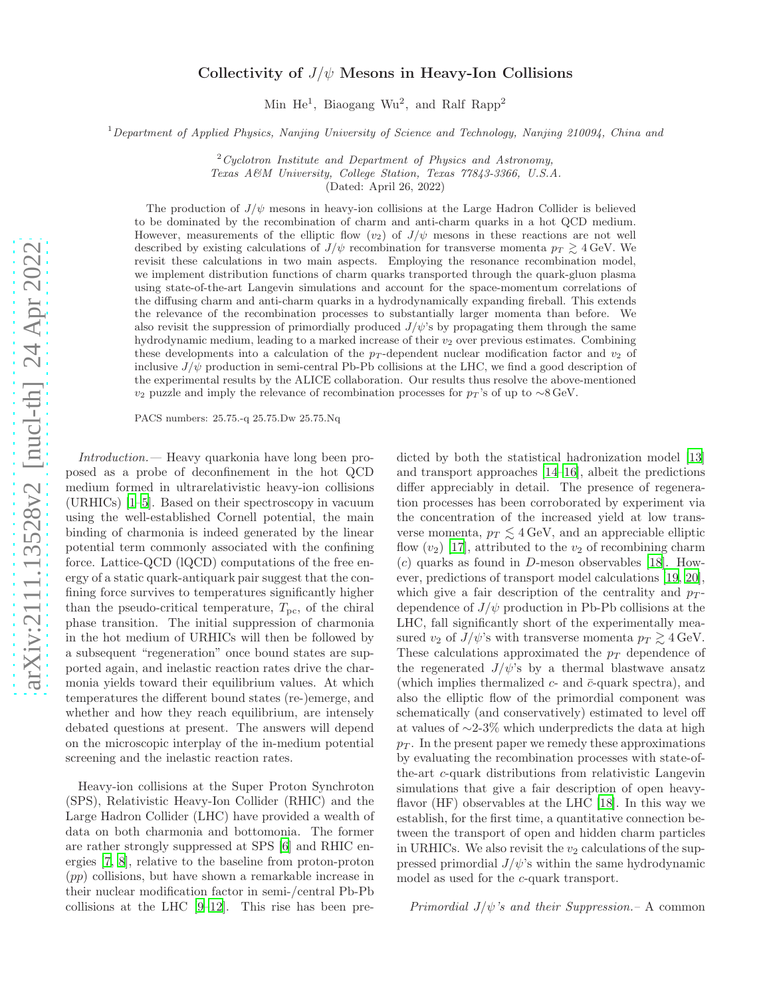## Collectivity of  $J/\psi$  Mesons in Heavy-Ion Collisions

Min He<sup>1</sup>, Biaogang Wu<sup>2</sup>, and Ralf Rapp<sup>2</sup>

 $1$  Department of Applied Physics, Nanjing University of Science and Technology, Nanjing 210094, China and

 $2$  Cyclotron Institute and Department of Physics and Astronomy, Texas A&M University, College Station, Texas 77843-3366, U.S.A.

(Dated: April 26, 2022)

The production of  $J/\psi$  mesons in heavy-ion collisions at the Large Hadron Collider is believed to be dominated by the recombination of charm and anti-charm quarks in a hot QCD medium. However, measurements of the elliptic flow  $(v_2)$  of  $J/\psi$  mesons in these reactions are not well described by existing calculations of  $J/\psi$  recombination for transverse momenta  $p_T \gtrsim 4 \text{ GeV}$ . We revisit these calculations in two main aspects. Employing the resonance recombination model, we implement distribution functions of charm quarks transported through the quark-gluon plasma using state-of-the-art Langevin simulations and account for the space-momentum correlations of the diffusing charm and anti-charm quarks in a hydrodynamically expanding fireball. This extends the relevance of the recombination processes to substantially larger momenta than before. We also revisit the suppression of primordially produced  $J/\psi$ 's by propagating them through the same hydrodynamic medium, leading to a marked increase of their  $v_2$  over previous estimates. Combining these developments into a calculation of the  $p_T$ -dependent nuclear modification factor and  $v_2$  of inclusive  $J/\psi$  production in semi-central Pb-Pb collisions at the LHC, we find a good description of the experimental results by the ALICE collaboration. Our results thus resolve the above-mentioned  $v_2$  puzzle and imply the relevance of recombination processes for  $p_T$ 's of up to ∼8 GeV.

PACS numbers: 25.75.-q 25.75.Dw 25.75.Nq

Introduction.— Heavy quarkonia have long been proposed as a probe of deconfinement in the hot QCD medium formed in ultrarelativistic heavy-ion collisions (URHICs) [\[1](#page-4-0)[–5\]](#page-4-1). Based on their spectroscopy in vacuum using the well-established Cornell potential, the main binding of charmonia is indeed generated by the linear potential term commonly associated with the confining force. Lattice-QCD (lQCD) computations of the free energy of a static quark-antiquark pair suggest that the confining force survives to temperatures significantly higher than the pseudo-critical temperature,  $T_{\text{pc}}$ , of the chiral phase transition. The initial suppression of charmonia in the hot medium of URHICs will then be followed by a subsequent "regeneration" once bound states are supported again, and inelastic reaction rates drive the charmonia yields toward their equilibrium values. At which temperatures the different bound states (re-)emerge, and whether and how they reach equilibrium, are intensely debated questions at present. The answers will depend on the microscopic interplay of the in-medium potential screening and the inelastic reaction rates.

Heavy-ion collisions at the Super Proton Synchroton (SPS), Relativistic Heavy-Ion Collider (RHIC) and the Large Hadron Collider (LHC) have provided a wealth of data on both charmonia and bottomonia. The former are rather strongly suppressed at SPS [\[6](#page-4-2)] and RHIC energies [\[7,](#page-4-3) [8](#page-4-4)], relative to the baseline from proton-proton  $(pp)$  collisions, but have shown a remarkable increase in their nuclear modification factor in semi-/central Pb-Pb collisions at the LHC [\[9](#page-4-5)[–12\]](#page-4-6). This rise has been predicted by both the statistical hadronization model [\[13\]](#page-4-7) and transport approaches [\[14](#page-4-8)[–16](#page-4-9)], albeit the predictions differ appreciably in detail. The presence of regeneration processes has been corroborated by experiment via the concentration of the increased yield at low transverse momenta,  $p_T \leq 4 \,\text{GeV}$ , and an appreciable elliptic flow  $(v_2)$  [\[17\]](#page-4-10), attributed to the  $v_2$  of recombining charm  $(c)$  quarks as found in D-meson observables [\[18\]](#page-4-11). However, predictions of transport model calculations [\[19](#page-4-12), [20\]](#page-4-13), which give a fair description of the centrality and  $p_T$ dependence of  $J/\psi$  production in Pb-Pb collisions at the LHC, fall significantly short of the experimentally measured  $v_2$  of  $J/\psi$ 's with transverse momenta  $p_T \gtrsim 4 \,\text{GeV}$ . These calculations approximated the  $p_T$  dependence of the regenerated  $J/\psi$ 's by a thermal blastwave ansatz (which implies thermalized  $c$ - and  $\bar{c}$ -quark spectra), and also the elliptic flow of the primordial component was schematically (and conservatively) estimated to level off at values of ∼2-3% which underpredicts the data at high  $p_T$ . In the present paper we remedy these approximations by evaluating the recombination processes with state-ofthe-art c-quark distributions from relativistic Langevin simulations that give a fair description of open heavyflavor (HF) observables at the LHC [\[18\]](#page-4-11). In this way we establish, for the first time, a quantitative connection between the transport of open and hidden charm particles in URHICs. We also revisit the  $v_2$  calculations of the suppressed primordial  $J/\psi$ 's within the same hydrodynamic model as used for the c-quark transport.

Primordial  $J/\psi$ 's and their Suppression. - A common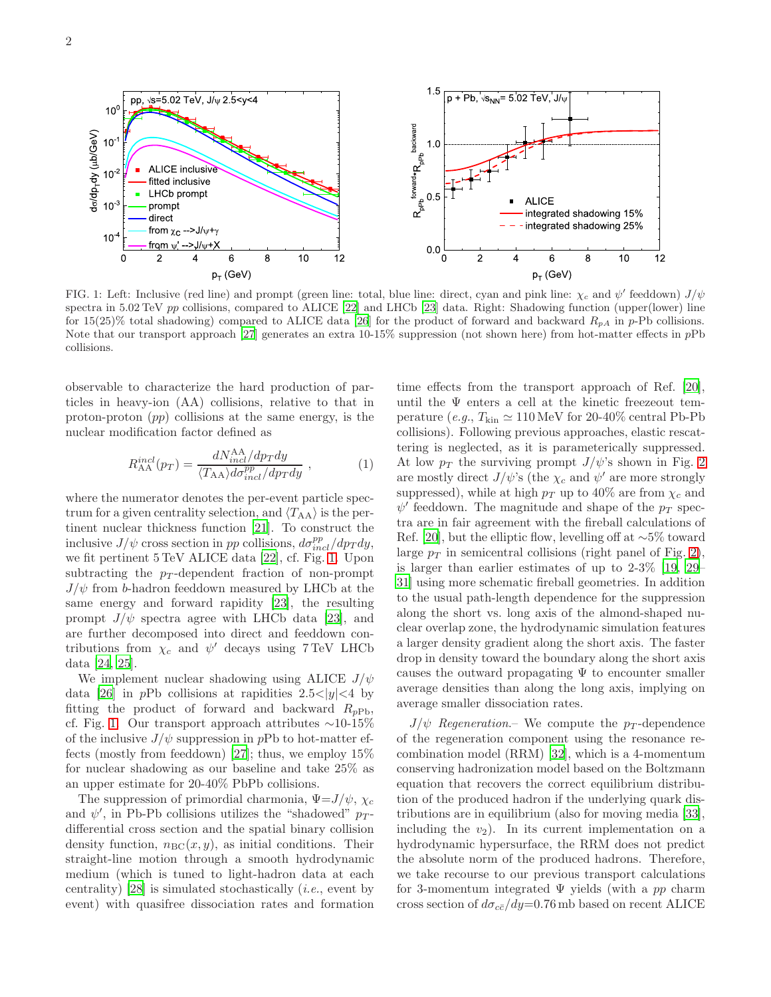

<span id="page-1-0"></span>FIG. 1: Left: Inclusive (red line) and prompt (green line: total, blue line: direct, cyan and pink line:  $\chi_c$  and  $\psi'$  feeddown)  $J/\psi$ spectra in 5.02 TeV pp collisions, compared to ALICE [\[22](#page-4-14)] and LHCb [\[23](#page-4-15)] data. Right: Shadowing function (upper(lower) line for 15(25)% total shadowing) compared to ALICE data [\[26\]](#page-4-16) for the product of forward and backward  $R_{pA}$  in p-Pb collisions. Note that our transport approach [\[27](#page-4-17)] generates an extra 10-15% suppression (not shown here) from hot-matter effects in pPb collisions.

observable to characterize the hard production of particles in heavy-ion (AA) collisions, relative to that in proton-proton (pp) collisions at the same energy, is the nuclear modification factor defined as

$$
R_{\rm AA}^{incl}(p_T) = \frac{dN_{incl}^{\rm AA}/dp_T dy}{\langle T_{\rm AA}\rangle d\sigma_{incl}^{pp}/dp_T dy} \,,\tag{1}
$$

where the numerator denotes the per-event particle spectrum for a given centrality selection, and  $\langle T_{AA} \rangle$  is the pertinent nuclear thickness function [\[21](#page-4-18)]. To construct the inclusive  $J/\psi$  cross section in pp collisions,  $d\sigma_{incl}^{pp}/dp_T dy$ , we fit pertinent 5 TeV ALICE data [\[22](#page-4-14)], cf. Fig. [1.](#page-1-0) Upon subtracting the  $p_T$ -dependent fraction of non-prompt  $J/\psi$  from b-hadron feeddown measured by LHCb at the same energy and forward rapidity [\[23\]](#page-4-15), the resulting prompt  $J/\psi$  spectra agree with LHCb data [\[23\]](#page-4-15), and are further decomposed into direct and feeddown contributions from  $\chi_c$  and  $\psi'$  decays using 7 TeV LHCb data [\[24,](#page-4-19) [25\]](#page-4-20).

We implement nuclear shadowing using ALICE  $J/\psi$ data [\[26\]](#page-4-16) in pPb collisions at rapidities  $2.5 < |y| < 4$  by fitting the product of forward and backward  $R_{pPb}$ , cf. Fig. [1.](#page-1-0) Our transport approach attributes ∼10-15% of the inclusive  $J/\psi$  suppression in pPb to hot-matter effects (mostly from feeddown) [\[27\]](#page-4-17); thus, we employ 15% for nuclear shadowing as our baseline and take 25% as an upper estimate for 20-40% PbPb collisions.

The suppression of primordial charmonia,  $\Psi = J/\psi$ ,  $\chi_c$ and  $\psi'$ , in Pb-Pb collisions utilizes the "shadowed"  $p_T$ differential cross section and the spatial binary collision density function,  $n_{BC}(x, y)$ , as initial conditions. Their straight-line motion through a smooth hydrodynamic medium (which is tuned to light-hadron data at each centrality) [\[28](#page-4-21)] is simulated stochastically (*i.e.*, event by event) with quasifree dissociation rates and formation <span id="page-1-1"></span>time effects from the transport approach of Ref. [\[20\]](#page-4-13), until the  $\Psi$  enters a cell at the kinetic freezeout temperature (e.g.,  $T_{\rm kin} \simeq 110 \,\text{MeV}$  for 20-40% central Pb-Pb collisions). Following previous approaches, elastic rescattering is neglected, as it is parameterically suppressed. At low  $p_T$  the surviving prompt  $J/\psi$ 's shown in Fig. [2](#page-2-0) are mostly direct  $J/\psi$ 's (the  $\chi_c$  and  $\psi'$  are more strongly suppressed), while at high  $p_T$  up to 40% are from  $\chi_c$  and  $\psi'$  feeddown. The magnitude and shape of the  $p_T$  spectra are in fair agreement with the fireball calculations of Ref. [\[20\]](#page-4-13), but the elliptic flow, levelling off at ∼5% toward large  $p_T$  in semicentral collisions (right panel of Fig. [2\)](#page-2-0), is larger than earlier estimates of up to 2-3% [\[19,](#page-4-12) [29](#page-4-22)– [31](#page-4-23)] using more schematic fireball geometries. In addition to the usual path-length dependence for the suppression along the short vs. long axis of the almond-shaped nuclear overlap zone, the hydrodynamic simulation features a larger density gradient along the short axis. The faster drop in density toward the boundary along the short axis causes the outward propagating  $\Psi$  to encounter smaller average densities than along the long axis, implying on average smaller dissociation rates.

 $J/\psi$  Regeneration. We compute the p<sub>T</sub>-dependence of the regeneration component using the resonance recombination model (RRM) [\[32](#page-4-24)], which is a 4-momentum conserving hadronization model based on the Boltzmann equation that recovers the correct equilibrium distribution of the produced hadron if the underlying quark distributions are in equilibrium (also for moving media [\[33\]](#page-4-25), including the  $v_2$ ). In its current implementation on a hydrodynamic hypersurface, the RRM does not predict the absolute norm of the produced hadrons. Therefore, we take recourse to our previous transport calculations for 3-momentum integrated  $\Psi$  yields (with a pp charm cross section of  $d\sigma_{c\bar{c}}/dy=0.76$  mb based on recent ALICE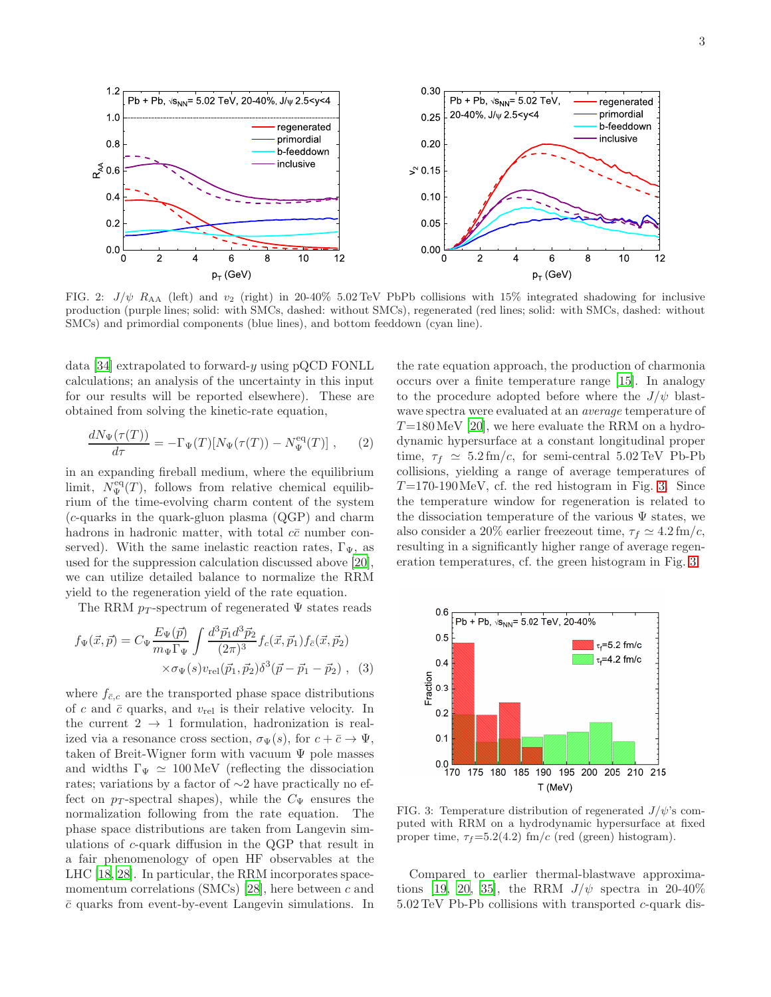

<span id="page-2-0"></span>FIG. 2:  $J/\psi$  R<sub>AA</sub> (left) and  $v_2$  (right) in 20-40% 5.02 TeV PbPb collisions with 15% integrated shadowing for inclusive production (purple lines; solid: with SMCs, dashed: without SMCs), regenerated (red lines; solid: with SMCs, dashed: without SMCs) and primordial components (blue lines), and bottom feeddown (cyan line).

data [\[34](#page-4-26)] extrapolated to forward-y using pQCD FONLL calculations; an analysis of the uncertainty in this input for our results will be reported elsewhere). These are obtained from solving the kinetic-rate equation,

$$
\frac{dN_{\Psi}(\tau(T))}{d\tau} = -\Gamma_{\Psi}(T)[N_{\Psi}(\tau(T)) - N_{\Psi}^{\text{eq}}(T)], \qquad (2)
$$

in an expanding fireball medium, where the equilibrium limit,  $N_{\Psi}^{\text{eq}}(T)$ , follows from relative chemical equilibrium of the time-evolving charm content of the system (c-quarks in the quark-gluon plasma (QGP) and charm hadrons in hadronic matter, with total  $c\bar{c}$  number conserved). With the same inelastic reaction rates,  $\Gamma_{\Psi}$ , as used for the suppression calculation discussed above [\[20\]](#page-4-13), we can utilize detailed balance to normalize the RRM yield to the regeneration yield of the rate equation.

The RRM  $p_T$ -spectrum of regenerated  $\Psi$  states reads

$$
f_{\Psi}(\vec{x}, \vec{p}) = C_{\Psi} \frac{E_{\Psi}(\vec{p})}{m_{\Psi} \Gamma_{\Psi}} \int \frac{d^3 \vec{p}_1 d^3 \vec{p}_2}{(2\pi)^3} f_c(\vec{x}, \vec{p}_1) f_{\bar{c}}(\vec{x}, \vec{p}_2) \times \sigma_{\Psi}(s) v_{\text{rel}}(\vec{p}_1, \vec{p}_2) \delta^3(\vec{p} - \vec{p}_1 - \vec{p}_2) , \quad (3)
$$

where  $f_{\bar{c},c}$  are the transported phase space distributions of c and  $\bar{c}$  quarks, and  $v_{rel}$  is their relative velocity. In the current  $2 \rightarrow 1$  formulation, hadronization is realized via a resonance cross section,  $\sigma_{\Psi}(s)$ , for  $c + \bar{c} \to \Psi$ , taken of Breit-Wigner form with vacuum  $\Psi$  pole masses and widths  $\Gamma_{\Psi} \simeq 100 \,\text{MeV}$  (reflecting the dissociation rates; variations by a factor of ∼2 have practically no effect on  $p_T$ -spectral shapes), while the  $C_{\Psi}$  ensures the normalization following from the rate equation. The phase space distributions are taken from Langevin simulations of c-quark diffusion in the QGP that result in a fair phenomenology of open HF observables at the LHC [\[18](#page-4-11), [28](#page-4-21)]. In particular, the RRM incorporates space-momentum correlations (SMCs) [\[28](#page-4-21)], here between  $c$  and  $\bar{c}$  quarks from event-by-event Langevin simulations. In the rate equation approach, the production of charmonia occurs over a finite temperature range [\[15\]](#page-4-27). In analogy to the procedure adopted before where the  $J/\psi$  blastwave spectra were evaluated at an average temperature of  $T=180 \,\mathrm{MeV}$  [\[20\]](#page-4-13), we here evaluate the RRM on a hydrodynamic hypersurface at a constant longitudinal proper time,  $\tau_f \simeq 5.2 \,\mathrm{fm}/c$ , for semi-central 5.02 TeV Pb-Pb collisions, yielding a range of average temperatures of  $T=170-190 \,\text{MeV}$ , cf. the red histogram in Fig. [3.](#page-2-1) Since the temperature window for regeneration is related to the dissociation temperature of the various  $\Psi$  states, we also consider a 20% earlier freezeout time,  $\tau_f \simeq 4.2 \,\mathrm{fm}/c$ , resulting in a significantly higher range of average regeneration temperatures, cf. the green histogram in Fig. [3.](#page-2-1)



<span id="page-2-1"></span>FIG. 3: Temperature distribution of regenerated  $J/\psi$ 's computed with RRM on a hydrodynamic hypersurface at fixed proper time,  $\tau_f = 5.2(4.2)$  fm/c (red (green) histogram).

Compared to earlier thermal-blastwave approxima-tions [\[19,](#page-4-12) [20,](#page-4-13) [35](#page-4-28)], the RRM  $J/\psi$  spectra in 20-40% 5.02 TeV Pb-Pb collisions with transported c-quark dis-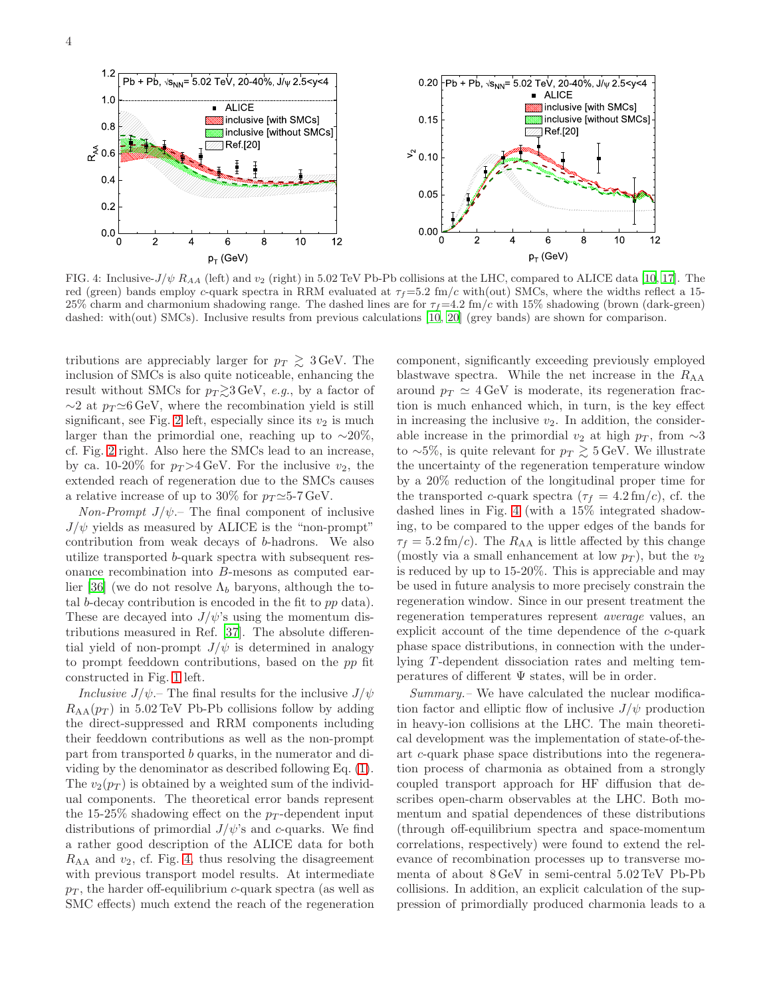

<span id="page-3-0"></span>FIG. 4: Inclusive- $J/\psi$   $R_{AA}$  (left) and  $v_2$  (right) in 5.02 TeV Pb-Pb collisions at the LHC, compared to ALICE data [\[10](#page-4-29), [17](#page-4-10)]. The red (green) bands employ c-quark spectra in RRM evaluated at  $\tau_f=5.2 \text{ fm/c}$  with(out) SMCs, where the widths reflect a 15-25% charm and charmonium shadowing range. The dashed lines are for  $\tau_f=4.2$  fm/c with 15% shadowing (brown (dark-green) dashed: with(out) SMCs). Inclusive results from previous calculations [\[10,](#page-4-29) [20\]](#page-4-13) (grey bands) are shown for comparison.

tributions are appreciably larger for  $p_T \gtrsim 3 \,\text{GeV}$ . The inclusion of SMCs is also quite noticeable, enhancing the result without SMCs for  $p_T \gtrsim 3$  GeV, e.g., by a factor of  $\sim$ 2 at  $p_T \simeq 6$  GeV, where the recombination yield is still significant, see Fig. [2](#page-2-0) left, especially since its  $v_2$  is much larger than the primordial one, reaching up to  $~\sim 20\%$ , cf. Fig. [2](#page-2-0) right. Also here the SMCs lead to an increase, by ca. 10-20% for  $p_T > 4$  GeV. For the inclusive  $v_2$ , the extended reach of regeneration due to the SMCs causes a relative increase of up to 30% for  $p_T \simeq 5$ -7 GeV.

Non-Prompt  $J/\psi$ . The final component of inclusive  $J/\psi$  yields as measured by ALICE is the "non-prompt" contribution from weak decays of b-hadrons. We also utilize transported b-quark spectra with subsequent resonance recombination into B-mesons as computed ear-lier [\[36](#page-4-30)] (we do not resolve  $\Lambda_b$  baryons, although the total b-decay contribution is encoded in the fit to pp data). These are decayed into  $J/\psi$ 's using the momentum distributions measured in Ref. [\[37\]](#page-4-31). The absolute differential yield of non-prompt  $J/\psi$  is determined in analogy to prompt feeddown contributions, based on the pp fit constructed in Fig. [1](#page-1-0) left.

Inclusive  $J/\psi$ . The final results for the inclusive  $J/\psi$  $R_{AA}(p_T)$  in 5.02 TeV Pb-Pb collisions follow by adding the direct-suppressed and RRM components including their feeddown contributions as well as the non-prompt part from transported b quarks, in the numerator and dividing by the denominator as described following Eq. [\(1\)](#page-1-1). The  $v_2(p_T)$  is obtained by a weighted sum of the individual components. The theoretical error bands represent the 15-25% shadowing effect on the  $p_T$ -dependent input distributions of primordial  $J/\psi$ 's and c-quarks. We find a rather good description of the ALICE data for both  $R_{AA}$  and  $v_2$ , cf. Fig. [4,](#page-3-0) thus resolving the disagreement with previous transport model results. At intermediate  $p_T$ , the harder off-equilibrium c-quark spectra (as well as SMC effects) much extend the reach of the regeneration component, significantly exceeding previously employed blastwave spectra. While the net increase in the  $R_{AA}$ around  $p_T \simeq 4 \,\text{GeV}$  is moderate, its regeneration fraction is much enhanced which, in turn, is the key effect in increasing the inclusive  $v_2$ . In addition, the considerable increase in the primordial  $v_2$  at high  $p_T$ , from ∼3 to ∼5%, is quite relevant for  $p_T \gtrsim 5$  GeV. We illustrate the uncertainty of the regeneration temperature window by a 20% reduction of the longitudinal proper time for the transported c-quark spectra ( $\tau_f = 4.2 \,\text{fm}/c$ ), cf. the dashed lines in Fig. [4](#page-3-0) (with a 15% integrated shadowing, to be compared to the upper edges of the bands for  $\tau_f = 5.2 \,\text{fm}/c$ . The  $R_{AA}$  is little affected by this change (mostly via a small enhancement at low  $p_T$ ), but the  $v_2$ is reduced by up to 15-20%. This is appreciable and may be used in future analysis to more precisely constrain the regeneration window. Since in our present treatment the regeneration temperatures represent average values, an explicit account of the time dependence of the c-quark phase space distributions, in connection with the underlying T -dependent dissociation rates and melting temperatures of different  $\Psi$  states, will be in order.

Summary.– We have calculated the nuclear modification factor and elliptic flow of inclusive  $J/\psi$  production in heavy-ion collisions at the LHC. The main theoretical development was the implementation of state-of-theart c-quark phase space distributions into the regeneration process of charmonia as obtained from a strongly coupled transport approach for HF diffusion that describes open-charm observables at the LHC. Both momentum and spatial dependences of these distributions (through off-equilibrium spectra and space-momentum correlations, respectively) were found to extend the relevance of recombination processes up to transverse momenta of about 8 GeV in semi-central 5.02 TeV Pb-Pb collisions. In addition, an explicit calculation of the suppression of primordially produced charmonia leads to a